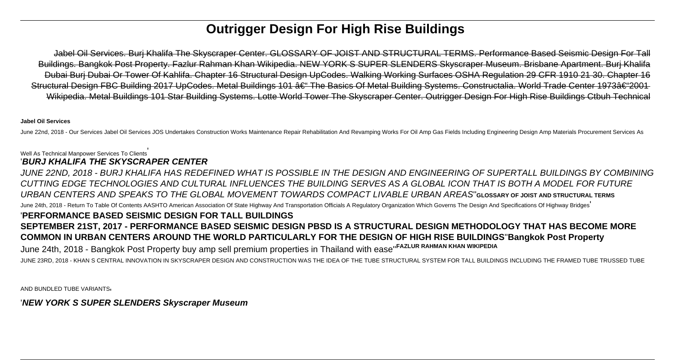# **Outrigger Design For High Rise Buildings**

Jabel Oil Services. Burj Khalifa The Skyscraper Center. GLOSSARY OF JOIST AND STRUCTURAL TERMS. Performance Based Seismic Design For Tall Buildings. Bangkok Post Property. Fazlur Rahman Khan Wikipedia. NEW YORK S SUPER SLENDERS Skyscraper Museum. Brisbane Apartment. Burj Khalifa Dubai Burj Dubai Or Tower Of Kahlifa. Chapter 16 Structural Design UpCodes. Walking Working Surfaces OSHA Regulation 29 CFR 1910 21 30. Chapter 16 Structural Design FBC Building 2017 UpCodes. Metal Buildings 101 – The Basics Of Metal Building Systems. Constructalia. World Trade Center 1973–2001 Wikipedia. Metal Buildings 101 Star Building Systems. Lotte World Tower The Skyscraper Center. Outrigger Design For High Rise Buildings Ctbuh Technical

#### **Jabel Oil Services**

June 22nd, 2018 - Our Services Jabel Oil Services JOS Undertakes Construction Works Maintenance Repair Rehabilitation And Revamping Works For Oil Amp Gas Fields Including Engineering Design Amp Materials Procurement Servic

# Well As Technical Manpower Services To Clients'

'**BURJ KHALIFA THE SKYSCRAPER CENTER**

JUNE 22ND, 2018 - BURJ KHALIFA HAS REDEFINED WHAT IS POSSIBLE IN THE DESIGN AND ENGINEERING OF SUPERTALL BUILDINGS BY COMBINING CUTTING EDGE TECHNOLOGIES AND CULTURAL INFLUENCES THE BUILDING SERVES AS A GLOBAL ICON THAT IS BOTH A MODEL FOR FUTURE URBAN CENTERS AND SPEAKS TO THE GLOBAL MOVEMENT TOWARDS COMPACT LIVABLE URBAN AREAS''**GLOSSARY OF JOIST AND STRUCTURAL TERMS** June 24th, 2018 - Return To Table Of Contents AASHTO American Association Of State Highway And Transportation Officials A Regulatory Organization Which Governs The Design And Specifications Of Highway Bridges' '**PERFORMANCE BASED SEISMIC DESIGN FOR TALL BUILDINGS SEPTEMBER 21ST, 2017 - PERFORMANCE BASED SEISMIC DESIGN PBSD IS A STRUCTURAL DESIGN METHODOLOGY THAT HAS BECOME MORE COMMON IN URBAN CENTERS AROUND THE WORLD PARTICULARLY FOR THE DESIGN OF HIGH RISE BUILDINGS**''**Bangkok Post Property** June 24th, 2018 - Bangkok Post Property buy amp sell premium properties in Thailand with ease''**FAZLUR RAHMAN KHAN WIKIPEDIA** JUNE 23RD, 2018 - KHAN S CENTRAL INNOVATION IN SKYSCRAPER DESIGN AND CONSTRUCTION WAS THE IDEA OF THE TUBE STRUCTURAL SYSTEM FOR TALL BUILDINGS INCLUDING THE FRAMED TUBE TRUSSED TUBE

AND BUNDLED TUBE VARIANTS'

'**NEW YORK S SUPER SLENDERS Skyscraper Museum**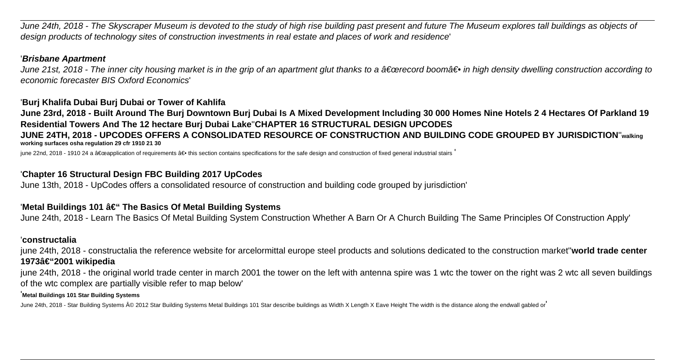June 24th, 2018 - The Skyscraper Museum is devoted to the study of high rise building past present and future The Museum explores tall buildings as objects of design products of technology sites of construction investments in real estate and places of work and residence'

#### '**Brisbane Apartment**

June 21st, 2018 - The inner city housing market is in the grip of an apartment glut thanks to a a€œrecord booma in high density dwelling construction according to economic forecaster BIS Oxford Economics'

## '**Burj Khalifa Dubai Burj Dubai or Tower of Kahlifa**

**June 23rd, 2018 - Built Around The Burj Downtown Burj Dubai Is A Mixed Development Including 30 000 Homes Nine Hotels 2 4 Hectares Of Parkland 19 Residential Towers And The 12 hectare Burj Dubai Lake**''**CHAPTER 16 STRUCTURAL DESIGN UPCODES JUNE 24TH, 2018 - UPCODES OFFERS A CONSOLIDATED RESOURCE OF CONSTRUCTION AND BUILDING CODE GROUPED BY JURISDICTION**''**walking working surfaces osha regulation 29 cfr 1910 21 30**

june 22nd, 2018 - 1910 24 a "application of requirements ― this section contains specifications for the safe design and construction of fixed general industrial stairs

# '**Chapter 16 Structural Design FBC Building 2017 UpCodes**

June 13th, 2018 - UpCodes offers a consolidated resource of construction and building code grouped by jurisdiction'

## 'Metal Buildings 101 â€" The Basics Of Metal Building Systems

June 24th, 2018 - Learn The Basics Of Metal Building System Construction Whether A Barn Or A Church Building The Same Principles Of Construction Apply'

#### '**constructalia**

june 24th, 2018 - constructalia the reference website for arcelormittal europe steel products and solutions dedicated to the construction market''**world trade center** 1973–2001 wikipedia

june 24th, 2018 - the original world trade center in march 2001 the tower on the left with antenna spire was 1 wtc the tower on the right was 2 wtc all seven buildings of the wtc complex are partially visible refer to map below'

#### '**Metal Buildings 101 Star Building Systems**

June 24th, 2018 - Star Building Systems © 2012 Star Building Systems Metal Buildings 101 Star describe buildings as Width X Length X Eave Height The width is the distance along the endwall gabled or